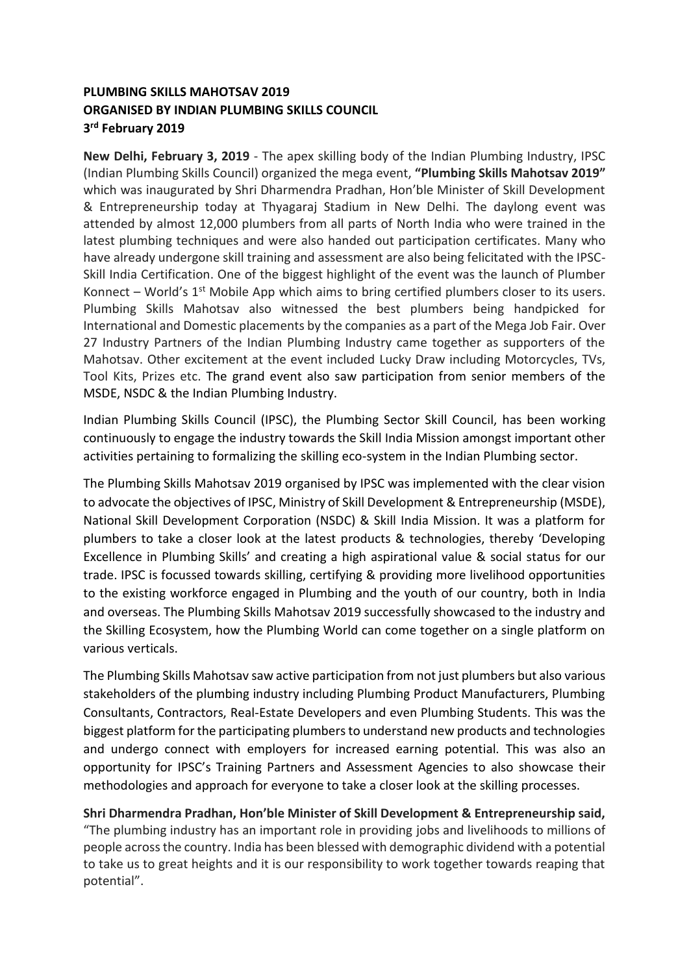## **PLUMBING SKILLS MAHOTSAV 2019 ORGANISED BY INDIAN PLUMBING SKILLS COUNCIL 3 rd February 2019**

**New Delhi, February 3, 2019** - The apex skilling body of the Indian Plumbing Industry, IPSC (Indian Plumbing Skills Council) organized the mega event, **"Plumbing Skills Mahotsav 2019"** which was inaugurated by Shri Dharmendra Pradhan, Hon'ble Minister of Skill Development & Entrepreneurship today at Thyagaraj Stadium in New Delhi. The daylong event was attended by almost 12,000 plumbers from all parts of North India who were trained in the latest plumbing techniques and were also handed out participation certificates. Many who have already undergone skill training and assessment are also being felicitated with the IPSC-Skill India Certification. One of the biggest highlight of the event was the launch of Plumber Konnect – World's  $1^{st}$  Mobile App which aims to bring certified plumbers closer to its users. Plumbing Skills Mahotsav also witnessed the best plumbers being handpicked for International and Domestic placements by the companies as a part of the Mega Job Fair. Over 27 Industry Partners of the Indian Plumbing Industry came together as supporters of the Mahotsav. Other excitement at the event included Lucky Draw including Motorcycles, TVs, Tool Kits, Prizes etc. The grand event also saw participation from senior members of the MSDE, NSDC & the Indian Plumbing Industry.

Indian Plumbing Skills Council (IPSC), the Plumbing Sector Skill Council, has been working continuously to engage the industry towards the Skill India Mission amongst important other activities pertaining to formalizing the skilling eco-system in the Indian Plumbing sector.

The Plumbing Skills Mahotsav 2019 organised by IPSC was implemented with the clear vision to advocate the objectives of IPSC, Ministry of Skill Development & Entrepreneurship (MSDE), National Skill Development Corporation (NSDC) & Skill India Mission. It was a platform for plumbers to take a closer look at the latest products & technologies, thereby 'Developing Excellence in Plumbing Skills' and creating a high aspirational value & social status for our trade. IPSC is focussed towards skilling, certifying & providing more livelihood opportunities to the existing workforce engaged in Plumbing and the youth of our country, both in India and overseas. The Plumbing Skills Mahotsav 2019 successfully showcased to the industry and the Skilling Ecosystem, how the Plumbing World can come together on a single platform on various verticals.

The Plumbing Skills Mahotsav saw active participation from not just plumbers but also various stakeholders of the plumbing industry including Plumbing Product Manufacturers, Plumbing Consultants, Contractors, Real-Estate Developers and even Plumbing Students. This was the biggest platform for the participating plumbers to understand new products and technologies and undergo connect with employers for increased earning potential. This was also an opportunity for IPSC's Training Partners and Assessment Agencies to also showcase their methodologies and approach for everyone to take a closer look at the skilling processes.

**Shri Dharmendra Pradhan, Hon'ble Minister of Skill Development & Entrepreneurship said,** "The plumbing industry has an important role in providing jobs and livelihoods to millions of people across the country. India has been blessed with demographic dividend with a potential to take us to great heights and it is our responsibility to work together towards reaping that potential".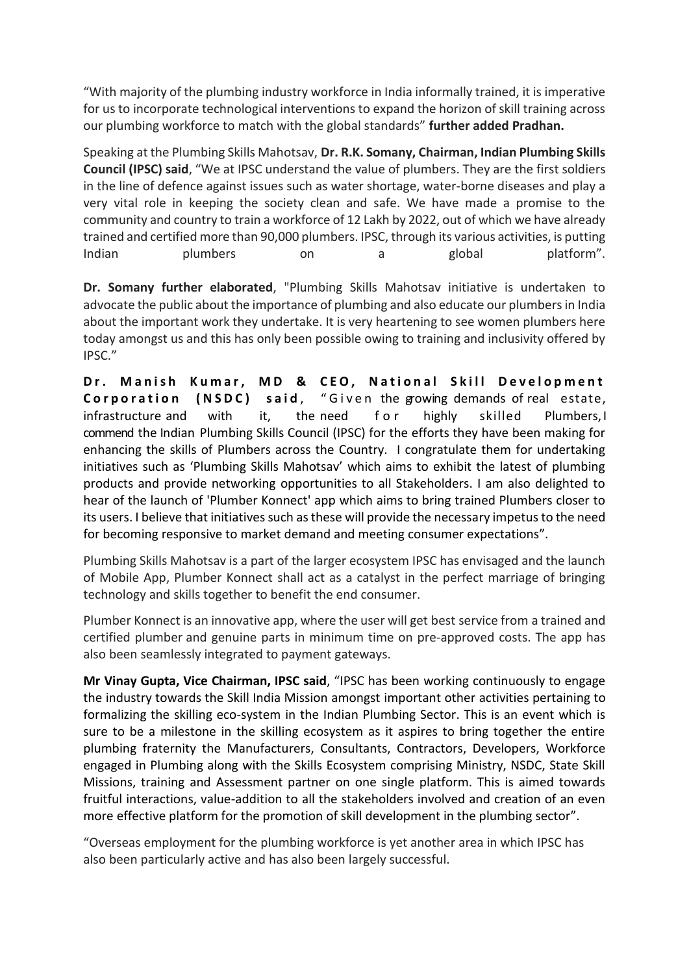"With majority of the plumbing industry workforce in India informally trained, it is imperative for us to incorporate technological interventions to expand the horizon of skill training across our plumbing workforce to match with the global standards" **further added Pradhan.**

Speaking at the Plumbing Skills Mahotsav, **Dr. R.K. Somany, Chairman, Indian Plumbing Skills Council (IPSC) said**, "We at IPSC understand the value of plumbers. They are the first soldiers in the line of defence against issues such as water shortage, water-borne diseases and play a very vital role in keeping the society clean and safe. We have made a promise to the community and country to train a workforce of 12 Lakh by 2022, out of which we have already trained and certified more than 90,000 plumbers. IPSC, through its various activities, is putting Indian plumbers on a global platform".

**Dr. Somany further elaborated**, "Plumbing Skills Mahotsav initiative is undertaken to advocate the public about the importance of plumbing and also educate our plumbers in India about the important work they undertake. It is very heartening to see women plumbers here today amongst us and this has only been possible owing to training and inclusivity offered by IPSC."

**Dr. Manish Kumar, MD & CEO, National Skill Development Corporation** (NSDC) said, "Given the growing demands of real estate, infrastructure and with it, the need for highly skilled Plumbers. commend the Indian Plumbing Skills Council (IPSC) for the efforts they have been making for enhancing the skills of Plumbers across the Country. I congratulate them for undertaking initiatives such as 'Plumbing Skills Mahotsav' which aims to exhibit the latest of plumbing products and provide networking opportunities to all Stakeholders. I am also delighted to hear of the launch of 'Plumber Konnect' app which aims to bring trained Plumbers closer to its users. I believe that initiatives such as these will provide the necessary impetus to the need for becoming responsive to market demand and meeting consumer expectations".

Plumbing Skills Mahotsav is a part of the larger ecosystem IPSC has envisaged and the launch of Mobile App, Plumber Konnect shall act as a catalyst in the perfect marriage of bringing technology and skills together to benefit the end consumer.

Plumber Konnect is an innovative app, where the user will get best service from a trained and certified plumber and genuine parts in minimum time on pre-approved costs. The app has also been seamlessly integrated to payment gateways.

**Mr Vinay Gupta, Vice Chairman, IPSC said**, "IPSC has been working continuously to engage the industry towards the Skill India Mission amongst important other activities pertaining to formalizing the skilling eco-system in the Indian Plumbing Sector. This is an event which is sure to be a milestone in the skilling ecosystem as it aspires to bring together the entire plumbing fraternity the Manufacturers, Consultants, Contractors, Developers, Workforce engaged in Plumbing along with the Skills Ecosystem comprising Ministry, NSDC, State Skill Missions, training and Assessment partner on one single platform. This is aimed towards fruitful interactions, value-addition to all the stakeholders involved and creation of an even more effective platform for the promotion of skill development in the plumbing sector".

"Overseas employment for the plumbing workforce is yet another area in which IPSC has also been particularly active and has also been largely successful.